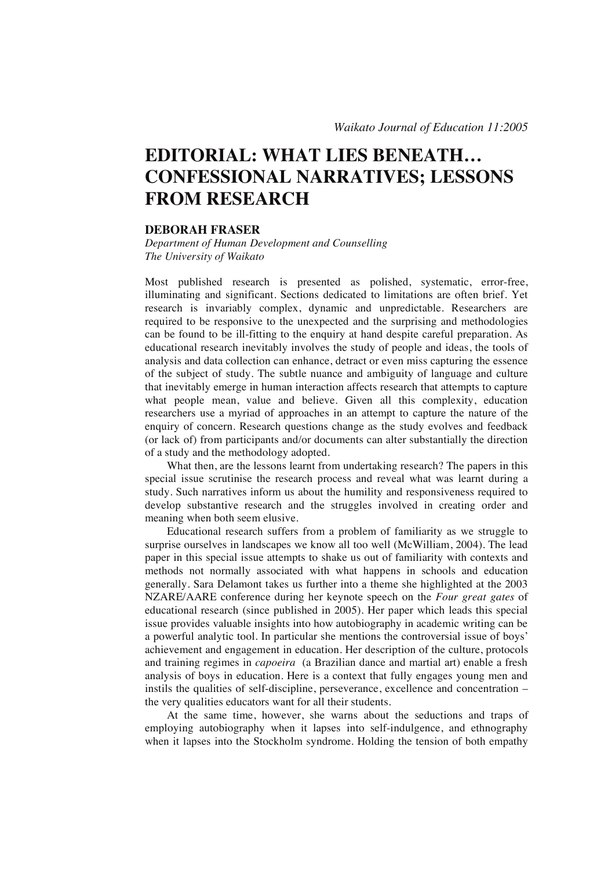# **EDITORIAL: WHAT LIES BENEATH… CONFESSIONAL NARRATIVES; LESSONS FROM RESEARCH**

## **DEBORAH FRASER**

*Department of Human Development and Counselling The University of Waikato* 

Most published research is presented as polished, systematic, error-free, illuminating and significant. Sections dedicated to limitations are often brief. Yet research is invariably complex, dynamic and unpredictable. Researchers are required to be responsive to the unexpected and the surprising and methodologies can be found to be ill-fitting to the enquiry at hand despite careful preparation. As educational research inevitably involves the study of people and ideas, the tools of analysis and data collection can enhance, detract or even miss capturing the essence of the subject of study. The subtle nuance and ambiguity of language and culture that inevitably emerge in human interaction affects research that attempts to capture what people mean, value and believe. Given all this complexity, education researchers use a myriad of approaches in an attempt to capture the nature of the enquiry of concern. Research questions change as the study evolves and feedback (or lack of) from participants and/or documents can alter substantially the direction of a study and the methodology adopted.

What then, are the lessons learnt from undertaking research? The papers in this special issue scrutinise the research process and reveal what was learnt during a study. Such narratives inform us about the humility and responsiveness required to develop substantive research and the struggles involved in creating order and meaning when both seem elusive.

Educational research suffers from a problem of familiarity as we struggle to surprise ourselves in landscapes we know all too well (McWilliam, 2004). The lead paper in this special issue attempts to shake us out of familiarity with contexts and methods not normally associated with what happens in schools and education generally. Sara Delamont takes us further into a theme she highlighted at the 2003 NZARE/AARE conference during her keynote speech on the *Four great gates* of educational research (since published in 2005). Her paper which leads this special issue provides valuable insights into how autobiography in academic writing can be a powerful analytic tool. In particular she mentions the controversial issue of boys' achievement and engagement in education. Her description of the culture, protocols and training regimes in *capoeira* (a Brazilian dance and martial art) enable a fresh analysis of boys in education. Here is a context that fully engages young men and instils the qualities of self-discipline, perseverance, excellence and concentration – the very qualities educators want for all their students.

At the same time, however, she warns about the seductions and traps of employing autobiography when it lapses into self-indulgence, and ethnography when it lapses into the Stockholm syndrome. Holding the tension of both empathy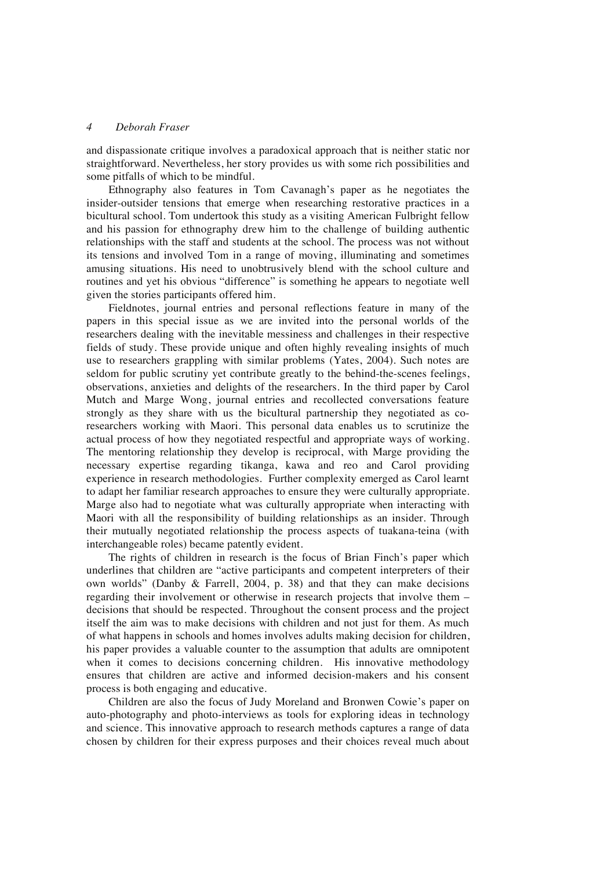#### *4 Deborah Fraser*

and dispassionate critique involves a paradoxical approach that is neither static nor straightforward. Nevertheless, her story provides us with some rich possibilities and some pitfalls of which to be mindful.

Ethnography also features in Tom Cavanagh's paper as he negotiates the insider-outsider tensions that emerge when researching restorative practices in a bicultural school. Tom undertook this study as a visiting American Fulbright fellow and his passion for ethnography drew him to the challenge of building authentic relationships with the staff and students at the school. The process was not without its tensions and involved Tom in a range of moving, illuminating and sometimes amusing situations. His need to unobtrusively blend with the school culture and routines and yet his obvious "difference" is something he appears to negotiate well given the stories participants offered him.

Fieldnotes, journal entries and personal reflections feature in many of the papers in this special issue as we are invited into the personal worlds of the researchers dealing with the inevitable messiness and challenges in their respective fields of study. These provide unique and often highly revealing insights of much use to researchers grappling with similar problems (Yates, 2004). Such notes are seldom for public scrutiny yet contribute greatly to the behind-the-scenes feelings, observations, anxieties and delights of the researchers. In the third paper by Carol Mutch and Marge Wong, journal entries and recollected conversations feature strongly as they share with us the bicultural partnership they negotiated as coresearchers working with Maori. This personal data enables us to scrutinize the actual process of how they negotiated respectful and appropriate ways of working. The mentoring relationship they develop is reciprocal, with Marge providing the necessary expertise regarding tikanga, kawa and reo and Carol providing experience in research methodologies. Further complexity emerged as Carol learnt to adapt her familiar research approaches to ensure they were culturally appropriate. Marge also had to negotiate what was culturally appropriate when interacting with Maori with all the responsibility of building relationships as an insider. Through their mutually negotiated relationship the process aspects of tuakana-teina (with interchangeable roles) became patently evident.

The rights of children in research is the focus of Brian Finch's paper which underlines that children are "active participants and competent interpreters of their own worlds" (Danby & Farrell, 2004, p. 38) and that they can make decisions regarding their involvement or otherwise in research projects that involve them – decisions that should be respected. Throughout the consent process and the project itself the aim was to make decisions with children and not just for them. As much of what happens in schools and homes involves adults making decision for children, his paper provides a valuable counter to the assumption that adults are omnipotent when it comes to decisions concerning children. His innovative methodology ensures that children are active and informed decision-makers and his consent process is both engaging and educative.

Children are also the focus of Judy Moreland and Bronwen Cowie's paper on auto-photography and photo-interviews as tools for exploring ideas in technology and science. This innovative approach to research methods captures a range of data chosen by children for their express purposes and their choices reveal much about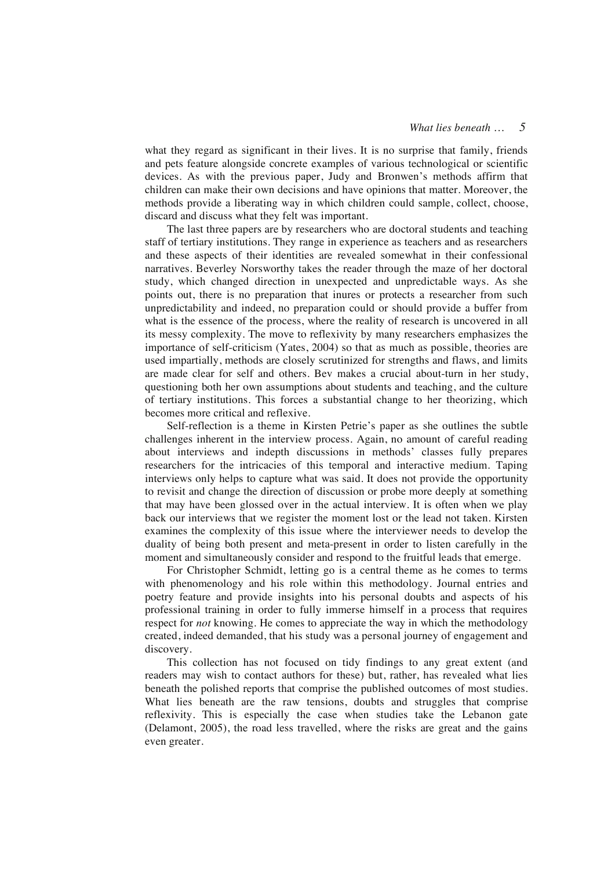#### *What lies beneath … 5*

what they regard as significant in their lives. It is no surprise that family, friends and pets feature alongside concrete examples of various technological or scientific devices. As with the previous paper, Judy and Bronwen's methods affirm that children can make their own decisions and have opinions that matter. Moreover, the methods provide a liberating way in which children could sample, collect, choose, discard and discuss what they felt was important.

The last three papers are by researchers who are doctoral students and teaching staff of tertiary institutions. They range in experience as teachers and as researchers and these aspects of their identities are revealed somewhat in their confessional narratives. Beverley Norsworthy takes the reader through the maze of her doctoral study, which changed direction in unexpected and unpredictable ways. As she points out, there is no preparation that inures or protects a researcher from such unpredictability and indeed, no preparation could or should provide a buffer from what is the essence of the process, where the reality of research is uncovered in all its messy complexity. The move to reflexivity by many researchers emphasizes the importance of self-criticism (Yates, 2004) so that as much as possible, theories are used impartially, methods are closely scrutinized for strengths and flaws, and limits are made clear for self and others. Bev makes a crucial about-turn in her study, questioning both her own assumptions about students and teaching, and the culture of tertiary institutions. This forces a substantial change to her theorizing, which becomes more critical and reflexive.

Self-reflection is a theme in Kirsten Petrie's paper as she outlines the subtle challenges inherent in the interview process. Again, no amount of careful reading about interviews and indepth discussions in methods' classes fully prepares researchers for the intricacies of this temporal and interactive medium. Taping interviews only helps to capture what was said. It does not provide the opportunity to revisit and change the direction of discussion or probe more deeply at something that may have been glossed over in the actual interview. It is often when we play back our interviews that we register the moment lost or the lead not taken. Kirsten examines the complexity of this issue where the interviewer needs to develop the duality of being both present and meta-present in order to listen carefully in the moment and simultaneously consider and respond to the fruitful leads that emerge.

For Christopher Schmidt, letting go is a central theme as he comes to terms with phenomenology and his role within this methodology. Journal entries and poetry feature and provide insights into his personal doubts and aspects of his professional training in order to fully immerse himself in a process that requires respect for *not* knowing. He comes to appreciate the way in which the methodology created, indeed demanded, that his study was a personal journey of engagement and discovery.

This collection has not focused on tidy findings to any great extent (and readers may wish to contact authors for these) but, rather, has revealed what lies beneath the polished reports that comprise the published outcomes of most studies. What lies beneath are the raw tensions, doubts and struggles that comprise reflexivity. This is especially the case when studies take the Lebanon gate (Delamont, 2005), the road less travelled, where the risks are great and the gains even greater.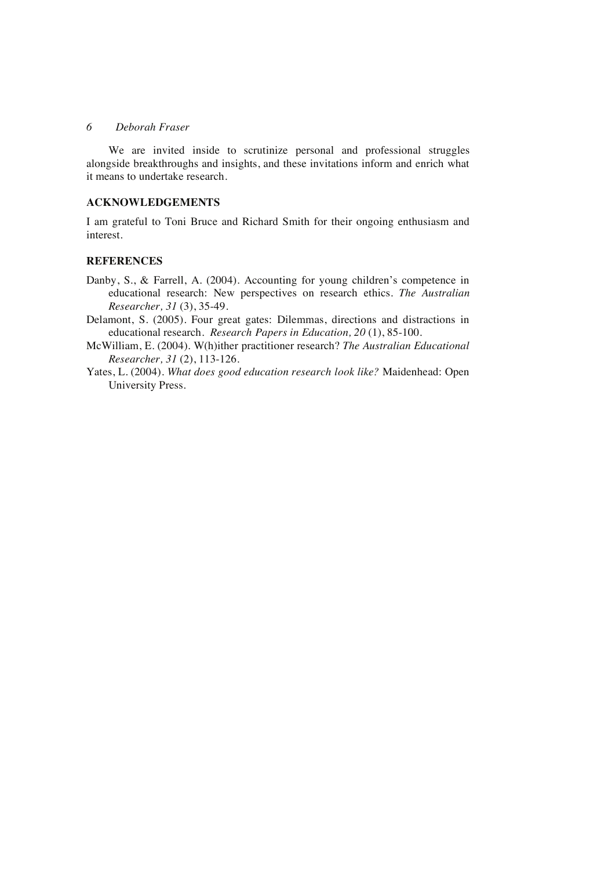## *6 Deborah Fraser*

We are invited inside to scrutinize personal and professional struggles alongside breakthroughs and insights, and these invitations inform and enrich what it means to undertake research.

## **ACKNOWLEDGEMENTS**

I am grateful to Toni Bruce and Richard Smith for their ongoing enthusiasm and interest.

#### **REFERENCES**

- Danby, S., & Farrell, A. (2004). Accounting for young children's competence in educational research: New perspectives on research ethics. *The Australian Researcher, 31* (3), 35-49.
- Delamont, S. (2005). Four great gates: Dilemmas, directions and distractions in educational research. *Research Papers in Education, 20* (1), 85-100.
- McWilliam, E. (2004). W(h)ither practitioner research? *The Australian Educational Researcher, 31* (2), 113-126.
- Yates, L. (2004). *What does good education research look like?* Maidenhead: Open University Press.